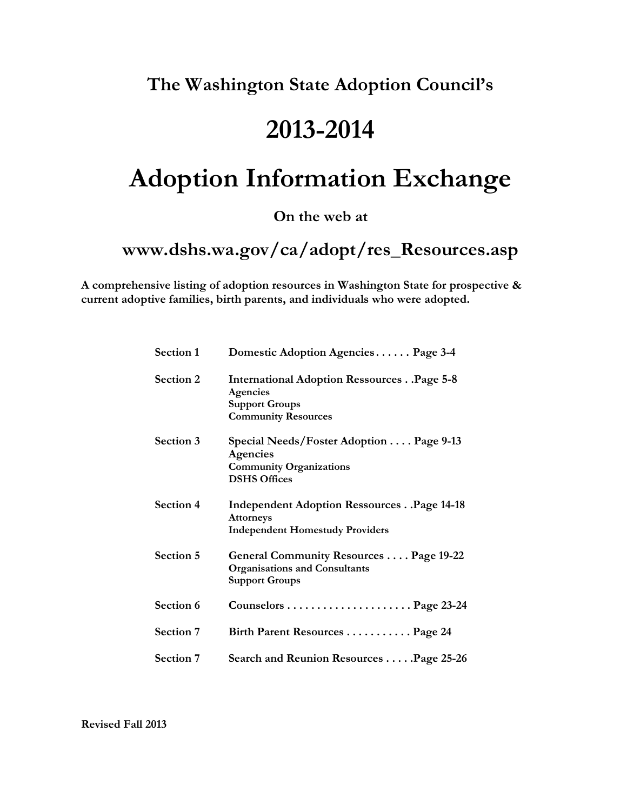# **The Washington State Adoption Council's**

# **2013-2014**

# **Adoption Information Exchange**

**On the web at**

# **www.dshs.wa.gov/ca/adopt/res\_Resources.asp**

**A comprehensive listing of adoption resources in Washington State for prospective & current adoptive families, birth parents, and individuals who were adopted.**

| Section 1        | Domestic Adoption Agencies Page 3-4                                                                                   |
|------------------|-----------------------------------------------------------------------------------------------------------------------|
| Section 2        | <b>International Adoption Ressources.</b> Page 5-8<br>Agencies<br><b>Support Groups</b><br><b>Community Resources</b> |
| <b>Section 3</b> | Special Needs/Foster Adoption Page 9-13<br>Agencies<br><b>Community Organizations</b><br><b>DSHS Offices</b>          |
| Section 4        | <b>Independent Adoption Ressources.</b> Page 14-18<br><b>Attorneys</b><br><b>Independent Homestudy Providers</b>      |
| Section 5        | General Community Resources Page 19-22<br><b>Organisations and Consultants</b><br><b>Support Groups</b>               |
| Section 6        |                                                                                                                       |
| Section 7        | Birth Parent Resources Page 24                                                                                        |
| Section 7        | Search and Reunion Resources Page 25-26                                                                               |

**Revised Fall 2013**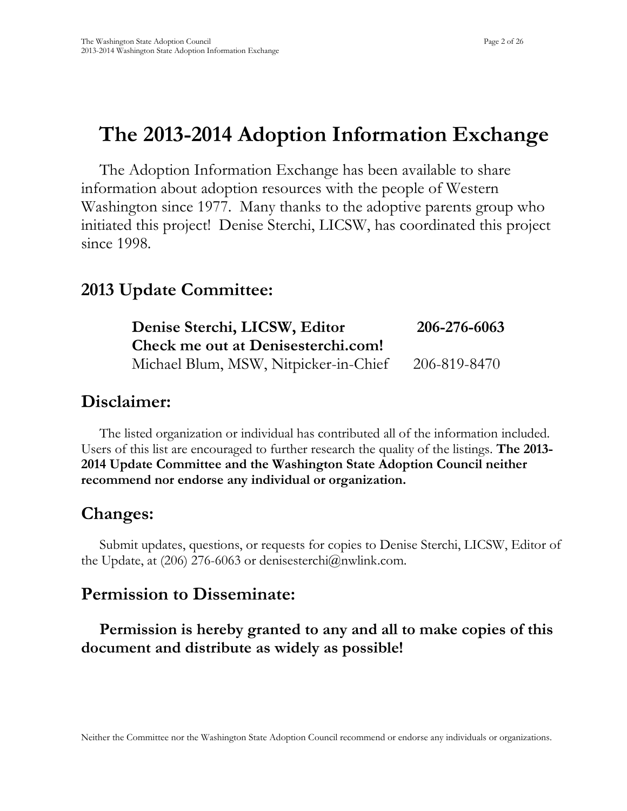# **The 2013-2014 Adoption Information Exchange**

The Adoption Information Exchange has been available to share information about adoption resources with the people of Western Washington since 1977. Many thanks to the adoptive parents group who initiated this project! Denise Sterchi, LICSW, has coordinated this project since 1998.

# **2013 Update Committee:**

| Denise Sterchi, LICSW, Editor         | 206-276-6063 |
|---------------------------------------|--------------|
| Check me out at Denisesterchi.com!    |              |
| Michael Blum, MSW, Nitpicker-in-Chief | 206-819-8470 |

# **Disclaimer:**

The listed organization or individual has contributed all of the information included. Users of this list are encouraged to further research the quality of the listings. **The 2013- 2014 Update Committee and the Washington State Adoption Council neither recommend nor endorse any individual or organization.**

# **Changes:**

Submit updates, questions, or requests for copies to Denise Sterchi, LICSW, Editor of the Update, at  $(206)$  276-6063 or denisesterchi $@n$  whink.com.

# **Permission to Disseminate:**

# **Permission is hereby granted to any and all to make copies of this document and distribute as widely as possible!**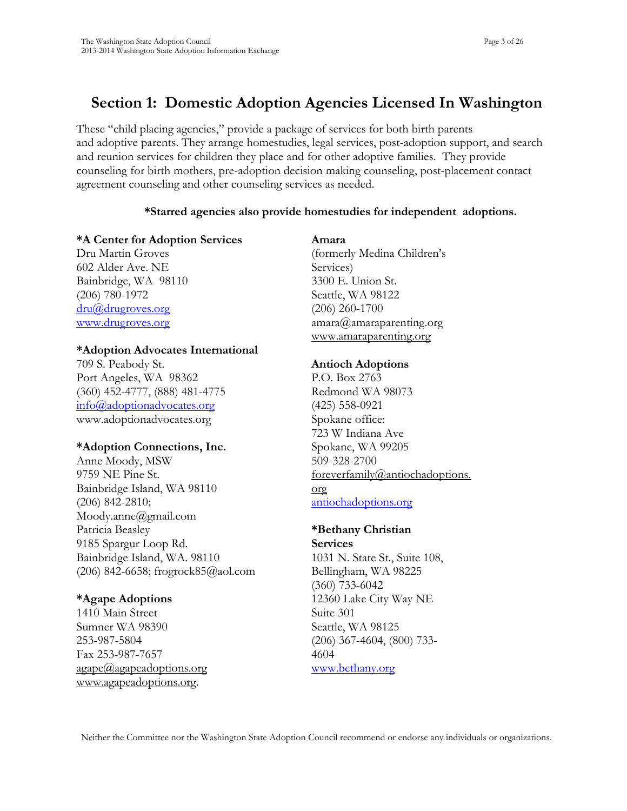# **Section 1: Domestic Adoption Agencies Licensed In Washington**

These "child placing agencies," provide a package of services for both birth parents and adoptive parents. They arrange homestudies, legal services, post-adoption support, and search and reunion services for children they place and for other adoptive families. They provide counseling for birth mothers, pre-adoption decision making counseling, post-placement contact agreement counseling and other counseling services as needed.

## **\*Starred agencies also provide homestudies for independent adoptions.**

## **\*A Center for Adoption Services**

Dru Martin Groves 602 Alder Ave. NE Bainbridge, WA 98110 (206) 780-1972 [dru@drugroves.org](mailto:dru@drugroves.org) [www.drugroves.org](http://www.drugroves.org/)

#### **\*Adoption Advocates International**

709 S. Peabody St. Port Angeles, WA 98362 (360) 452-4777, (888) 481-4775 [info@adoptionadvocates.org](mailto:info@adoptionadvocates.org) [www.adoptionadvocates.org](http://www.adoptionadvocates.org/)

## **\*Adoption Connections, Inc.**

Anne Moody, MSW 9759 NE Pine St. Bainbridge Island, WA 98110 (206) 842-2810; Moody.anne@gmail.com Patricia Beasley 9185 Spargur Loop Rd. Bainbridge Island, WA. 98110 (206) 842-6658; [frogrock85@aol.com](mailto:frogrock85@aol.com)

## **\*Agape Adoptions**

1410 Main Street Sumner WA 98390 253-987-5804 Fax 253-987-7657  $a$ gape $@a$ gapeadoptions.org [www.agapeadoptions.org.](http://www.agapeadoptions.org/)

## **Amara**

(formerly Medina Children's Services) 3300 E. Union St. Seattle, WA 98122 (206) 260-1700 [amara@amaraparenting.org](mailto:amara@amaraparenting.org) [www.amaraparenting.org](http://www.amaraparenting.org/)

#### **Antioch Adoptions**

P.O. Box 2763 Redmond WA 98073 (425) 558-0921 Spokane office: 723 W Indiana Ave Spokane, WA 99205 509-328-2700 [foreverfamily@antiochadoptions.](mailto:foreverfamily@antiochadoptions.org) [org](mailto:foreverfamily@antiochadoptions.org) antiochadoptions.org

## **\*Bethany Christian**

**Services** 1031 N. State St., Suite 108, Bellingham, WA 98225 (360) 733-6042 12360 Lake City Way NE Suite 301 Seattle, WA 98125 (206) 367-4604, (800) 733- 4604 [www.bethany.org](http://www.bethany.org/)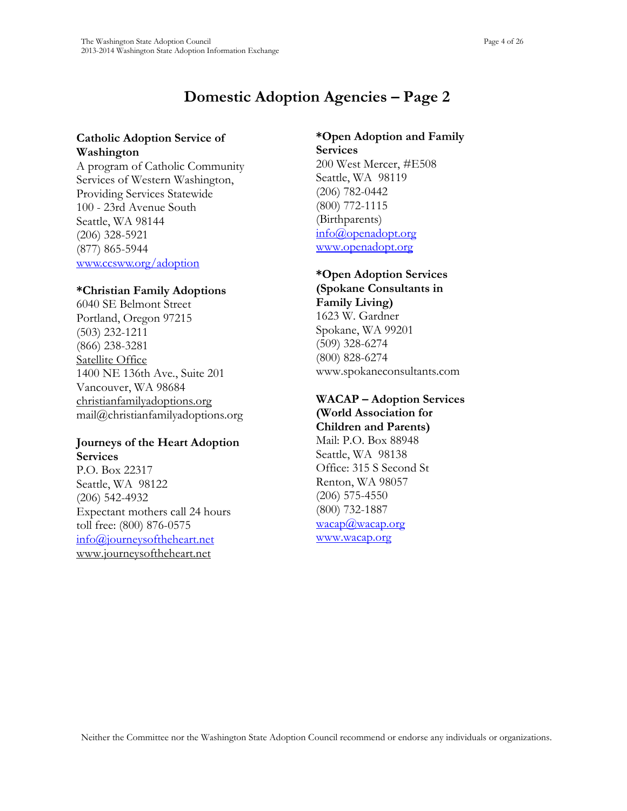# **Domestic Adoption Agencies – Page 2**

## **Catholic Adoption Service of Washington**

A program of Catholic Community Services of Western Washington, Providing Services Statewide 100 - 23rd Avenue South Seattle, WA 98144 (206) 328-5921 (877) 865-5944 [www.ccsww.org/adoption](http://www.ccsww.org/adoption)

#### **\*Christian Family Adoptions**

6040 SE Belmont Street Portland, Oregon 97215 (503) 232-1211 (866) 238-3281 Satellite Office 1400 NE 136th Ave., Suite 201 Vancouver, WA 98684 [christianfamilyadoptions.org](http://www.christianfamilyadoptions.org/) mail@christianfamilyadoptions.org

## **Journeys of the Heart Adoption Services**

P.O. Box 22317 Seattle, WA 98122 (206) 542-4932 Expectant mothers call 24 hours toll free: (800) 876-0575 [info@journeysoftheheart.net](mailto:info@journeysoftheheart.net) [www.journeysoftheheart.net](http://www.journeysoftheheart.net/)

# **\*Open Adoption and Family**

**Services** 200 West Mercer, #E508 Seattle, WA 98119 (206) 782-0442 (800) 772-1115 (Birthparents) [info@openadopt.org](mailto:info@openadopt.org) [www.openadopt.org](http://www.openadopt.org/)

## **\*Open Adoption Services**

**(Spokane Consultants in Family Living)** 1623 W. Gardner Spokane, WA 99201 (509) 328-6274 (800) 828-6274 [www.spokaneconsultants.com](http://www.spokaneconsultants.com/)

#### **WACAP – Adoption Services (World Association for**

**Children and Parents)** Mail: P.O. Box 88948 Seattle, WA 98138 Office: 315 S Second St Renton, WA 98057 (206) 575-4550 (800) 732-1887 [wacap@wacap.org](mailto:wacap@wacap.org) [www.wacap.org](http://www.wacap.org/)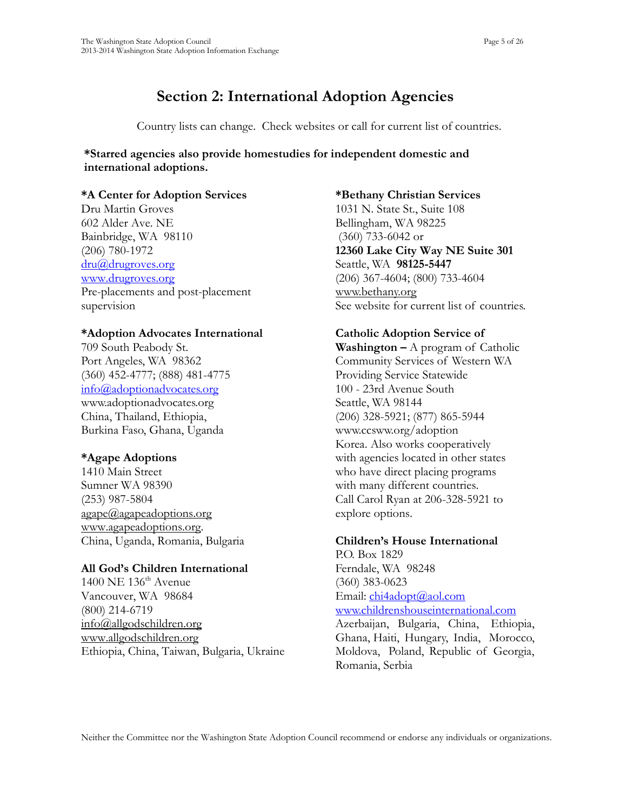# **Section 2: International Adoption Agencies**

Country lists can change. Check websites or call for current list of countries.

#### **\*Starred agencies also provide homestudies for independent domestic and international adoptions.**

#### **\*A Center for Adoption Services**

Dru Martin Groves 602 Alder Ave. NE Bainbridge, WA 98110 (206) 780-1972 [dru@drugroves.org](mailto:dru@drugroves.org) [www.drugroves.org](http://www.drugroves.org/) Pre-placements and post-placement supervision

#### **\*Adoption Advocates International**

709 South Peabody St. Port Angeles, WA 98362 (360) 452-4777; (888) 481-4775 [info@adoptionadvocates.org](mailto:info@adoptionadvocates.org) [www.adoptionadvocates.org](http://www.adoptionadvocates.org/) China, Thailand, Ethiopia, Burkina Faso, Ghana, Uganda

## **\*Agape Adoptions**

1410 Main Street Sumner WA 98390 (253) 987-5804  $a$ gape $@a$ gapeadoptions.org [www.agapeadoptions.org.](http://www.agapeadoptions.org/) China, Uganda, Romania, Bulgaria

## **All God's Children International**

 $1400$  NE  $136<sup>th</sup>$  Avenue Vancouver, WA 98684 (800) 214-6719 [info@allgodschildren.org](mailto:info@allgodschildren.org) [www.allgodschildren.org](http://www.allgodschildren.org/) Ethiopia, China, Taiwan, Bulgaria, Ukraine

#### **\*Bethany Christian Services**

1031 N. State St., Suite 108 Bellingham, WA 98225 (360) 733-6042 or **12360 Lake City Way NE Suite 301** Seattle, WA **98125-5447** (206) 367-4604; (800) 733-4604 [www.bethany.org](http://www.bethany.org/) See website for current list of countries.

## **Catholic Adoption Service of**

**Washington –** A program of Catholic Community Services of Western WA Providing Service Statewide 100 - 23rd Avenue South Seattle, WA 98144 (206) 328-5921; (877) 865-5944 [www.ccsww.org/](http://www.ccsww.org/)adoption Korea. Also works cooperatively with agencies located in other states who have direct placing programs with many different countries. Call Carol Ryan at 206-328-5921 to explore options.

## **Children's House International**

P.O. Box 1829 Ferndale, WA 98248 (360) 383-0623 Email: [chi4adopt@aol.com](mailto:chi4adopt@aol.com) [www.childrenshouseinternational.com](http://www.childrenshouseinternational.com/)

Azerbaijan, Bulgaria, China, Ethiopia, Ghana, Haiti, Hungary, India, Morocco, Moldova, Poland, Republic of Georgia, Romania, Serbia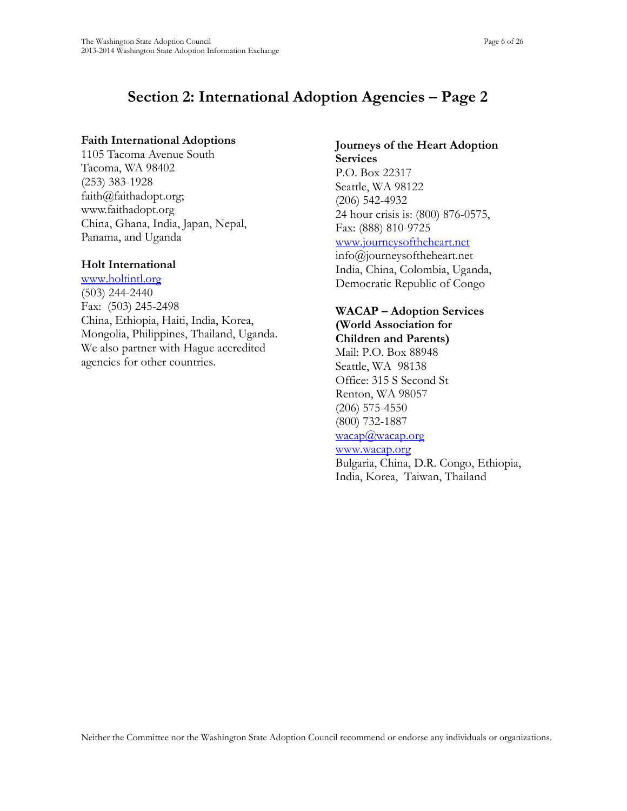# **Section 2: International Adoption Agencies – Page 2**

## **Faith International Adoptions**

1105 Tacoma Avenue South Tacoma, WA 98402 (253) 383-1928 [faith@faithadopt.org;](mailto:faith@faithadopt.org;) [www.faithadopt.org](http://www.faithadopt.org/) China, Ghana, India, Japan, Nepal, Panama, and Uganda

## **Holt International**

[www.holtintl.org](http://www.holtintl.org/) (503) 244-2440 Fax: (503) 245-2498 China, Ethiopia, Haiti, India, Korea, Mongolia, Philippines, Thailand, Uganda. We also partner with Hague accredited agencies for other countries.

#### **Journeys of the Heart Adoption Services**

P.O. Box 22317 Seattle, WA 98122 (206) 542-4932 24 hour crisis is: (800) 876-0575, Fax: (888) 810-9725 [www.journeysoftheheart.net](http://www.journeysoftheheart.net/)

info@journeysoftheheart.net India, China, Colombia, Uganda, Democratic Republic of Congo

## **WACAP – Adoption Services (World Association for**

**Children and Parents)** Mail: P.O. Box 88948 Seattle, WA 98138 Office: 315 S Second St Renton, WA 98057 (206) 575-4550 (800) 732-1887

## [wacap@wacap.org](mailto:wacap@wacap.org)

[www.wacap.org](http://www.wacap.org/) Bulgaria, China, D.R. Congo, Ethiopia, India, Korea, Taiwan, Thailand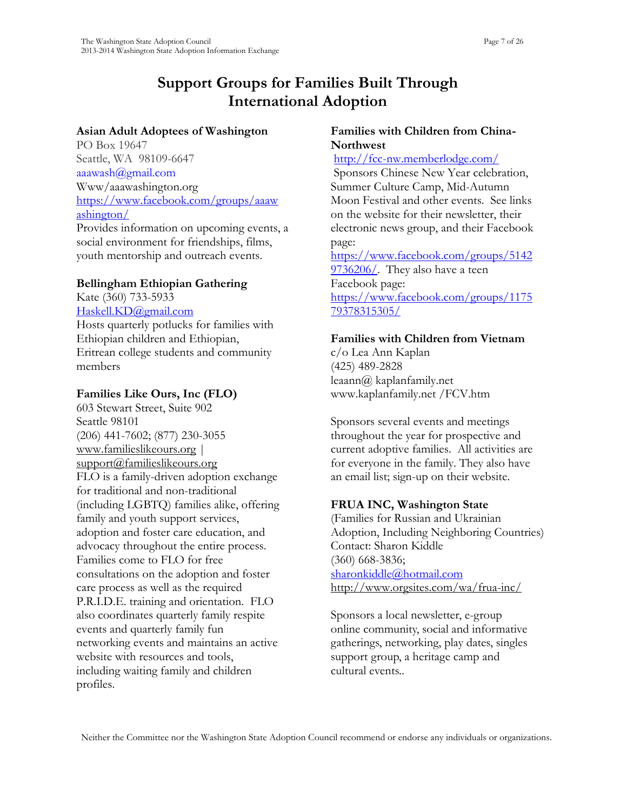# **Support Groups for Families Built Through International Adoption**

## **Asian Adult Adoptees of Washington**

PO Box 19647 Seattle, WA 98109-6647 aaawash@gmail.com Www/aaawashington.org [https://www.facebook.com/groups/aaaw](https://www.facebook.com/groups/aaawashington/) [ashington/](https://www.facebook.com/groups/aaawashington/) Provides information on upcoming events, a social environment for friendships, films, youth mentorship and outreach events.

## **Bellingham Ethiopian Gathering**

Kate (360) 733-5933 [Haskell.KD@gmail.com](mailto:Haskell.KD@gmail.com) Hosts quarterly potlucks for families with Ethiopian children and Ethiopian, Eritrean college students and community members

## **Families Like Ours, Inc (FLO)**

603 Stewart Street, Suite 902 Seattle 98101 (206) 441-7602; (877) 230-3055 [www.familieslikeours.org](http://www.familieslikeours.org/) | [support@familieslikeours.org](mailto:support@familieslikeours.org) FLO is a family-driven adoption exchange for traditional and non-traditional (including LGBTQ) families alike, offering family and youth support services, adoption and foster care education, and advocacy throughout the entire process. Families come to FLO for free consultations on the adoption and foster care process as well as the required P.R.I.D.E. training and orientation. FLO also coordinates quarterly family respite events and quarterly family fun networking events and maintains an active website with resources and tools, including waiting family and children profiles.

## **Families with Children from China-Northwest**

<http://fcc-nw.memberlodge.com/>

Sponsors Chinese New Year celebration, Summer Culture Camp, Mid-Autumn Moon Festival and other events. See links on the website for their newsletter, their electronic news group, and their Facebook page:

[https://www.facebook.com/groups/5142](https://www.facebook.com/groups/51429736206/) [9736206/.](https://www.facebook.com/groups/51429736206/) They also have a teen Facebook page: [https://www.facebook.com/groups/1175](https://www.facebook.com/groups/117579378315305/) [79378315305/](https://www.facebook.com/groups/117579378315305/)

## **Families with Children from Vietnam**

c/o Lea Ann Kaplan (425) 489-2828 leaann $\omega$  kaplanfamily.net [www.kaplanfamily.net /FCV.htm](http://kaplanfamily.net/FCV.htm)

Sponsors several events and meetings throughout the year for prospective and current adoptive families. All activities are for everyone in the family. They also have an email list; sign-up on their website.

## **FRUA INC, Washington State**

(Families for Russian and Ukrainian Adoption, Including Neighboring Countries) Contact: Sharon Kiddle (360) 668-3836; [sharonkiddle@hotmail.com](mailto:sharonkiddle@hotmail.com) <http://www.orgsites.com/wa/frua-inc/>

Sponsors a local newsletter, e-group online community, social and informative gatherings, networking, play dates, singles support group, a heritage camp and cultural events..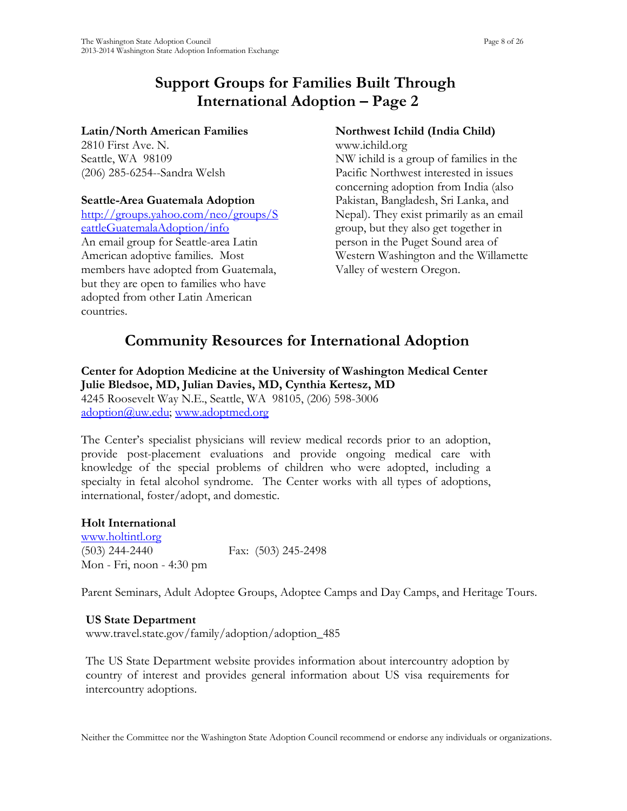# **Support Groups for Families Built Through International Adoption – Page 2**

#### **Latin/North American Families**

2810 First Ave. N. Seattle, WA 98109 (206) 285-6254--Sandra Welsh

## **Seattle-Area Guatemala Adoption**

[http://groups.yahoo.com/neo/groups/S](http://groups.yahoo.com/neo/groups/SeattleGuatemalaAdoption/info) [eattleGuatemalaAdoption/info](http://groups.yahoo.com/neo/groups/SeattleGuatemalaAdoption/info) An email group for Seattle-area Latin American adoptive families. Most members have adopted from Guatemala, but they are open to families who have adopted from other Latin American countries.

#### **Northwest Ichild (India Child)**

[www.ichild.org](http://www.ichild.org/) NW ichild is a group of families in the Pacific Northwest interested in issues concerning adoption from India (also Pakistan, Bangladesh, Sri Lanka, and Nepal). They exist primarily as an email group, but they also get together in person in the Puget Sound area of Western Washington and the Willamette Valley of western Oregon.

## **Community Resources for International Adoption**

**Center for Adoption Medicine at the University of Washington Medical Center Julie Bledsoe, MD, Julian Davies, MD, Cynthia Kertesz, MD** 4245 Roosevelt Way N.E., Seattle, WA 98105, (206) 598-3006 [adoption@uw.edu;](mailto:adoption@uw.edu) [www.adoptmed.org](http://www.adoptmed.org/)

The Center's specialist physicians will review medical records prior to an adoption, provide post-placement evaluations and provide ongoing medical care with knowledge of the special problems of children who were adopted, including a specialty in fetal alcohol syndrome. The Center works with all types of adoptions, international, foster/adopt, and domestic.

#### **Holt International**

[www.holtintl.org](http://www.holtintl.org/) (503) 244-2440 Fax: (503) 245-2498 Mon - Fri, noon - 4:30 pm

Parent Seminars, Adult Adoptee Groups, Adoptee Camps and Day Camps, and Heritage Tours.

#### **US State Department**

[www.travel.state.gov/family/adoption/adoption\\_485](http://www.travel.state.gov/family/adoption/adoption_485)

The US State Department website provides information about intercountry adoption by country of interest and provides general information about US visa requirements for intercountry adoptions.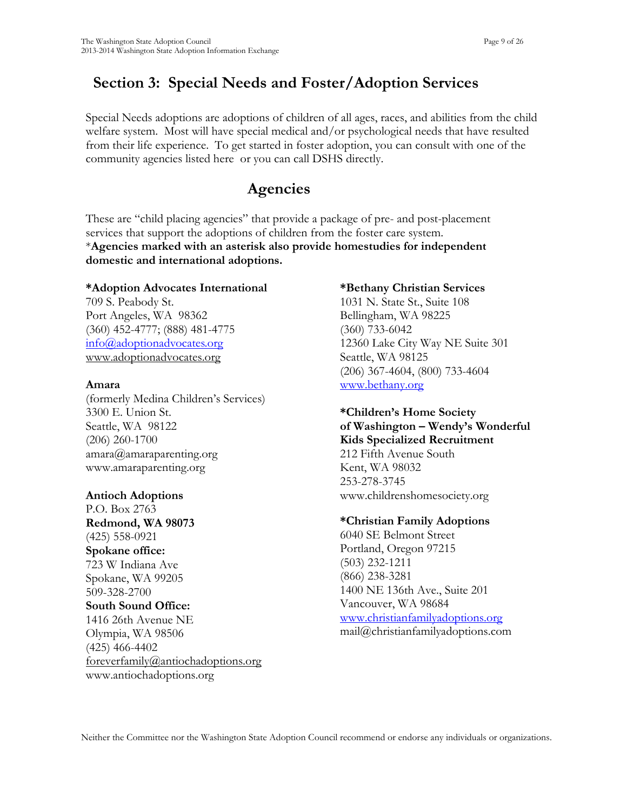# **Section 3: Special Needs and Foster/Adoption Services**

Special Needs adoptions are adoptions of children of all ages, races, and abilities from the child welfare system. Most will have special medical and/or psychological needs that have resulted from their life experience. To get started in foster adoption, you can consult with one of the community agencies listed here or you can call DSHS directly.

# **Agencies**

These are "child placing agencies" that provide a package of pre- and post-placement services that support the adoptions of children from the foster care system. \***Agencies marked with an asterisk also provide homestudies for independent domestic and international adoptions.** 

## **\*Adoption Advocates International**

709 S. Peabody St. Port Angeles, WA 98362 (360) 452-4777; (888) 481-4775 [info@adoptionadvocates.org](mailto:info@adoptionadvocates.org) [www.adoptionadvocates.org](http://www.adoptionadvocates.org/)

## **Amara**

(formerly Medina Children's Services) 3300 E. Union St. Seattle, WA 98122 (206) 260-1700 [amara@amaraparenting.org](mailto:amara@amaraparenting.org) [www.amaraparenting.org](http://www.amaraparenting.org/)

## **Antioch Adoptions**

P.O. Box 2763 **Redmond, WA 98073** (425) 558-0921 **Spokane office:** 723 W Indiana Ave Spokane, WA 99205 509-328-2700 **South Sound Office:** 1416 26th Avenue NE Olympia, WA 98506 (425) 466-4402 [foreverfamily@antiochadoptions.org](mailto:foreverfamily@antiochadoptions.org) www.antiochadoptions.org

## **\*Bethany Christian Services**

1031 N. State St., Suite 108 Bellingham, WA 98225 (360) 733-6042 12360 Lake City Way NE Suite 301 Seattle, WA 98125 (206) 367-4604, (800) 733-4604 [www.bethany.org](http://www.bethany.org/)

#### **\*Children's Home Society of Washington – Wendy's Wonderful Kids Specialized Recruitment**

212 Fifth Avenue South Kent, WA 98032 253-278-3745 [www.childrenshomesociety.org](http://www.childrenshomesociety.org/)

## **\*Christian Family Adoptions**

6040 SE Belmont Street Portland, Oregon 97215 (503) 232-1211 (866) 238-3281 1400 NE 136th Ave., Suite 201 Vancouver, WA 98684 [www.christianfamilyadoptions.org](http://www.christianfamilyadoptions.org/) mail@christianfamilyadoptions.com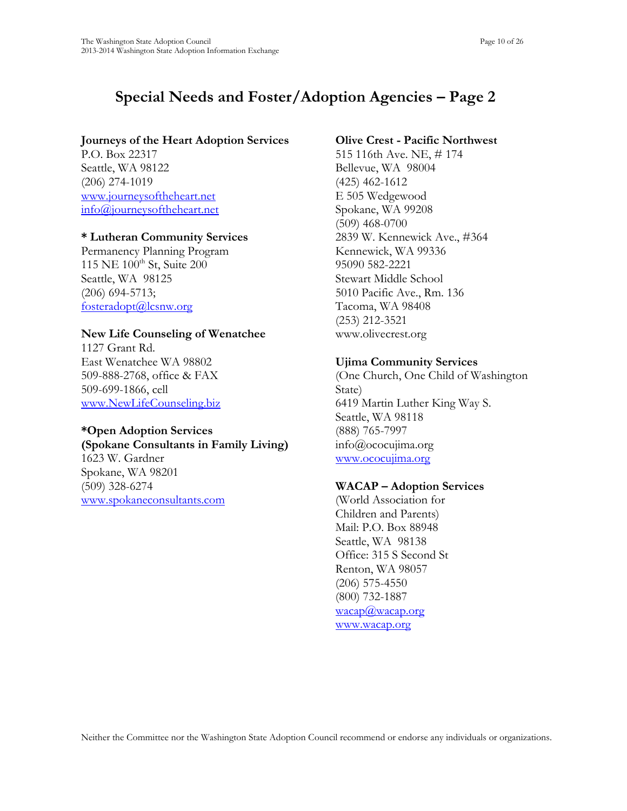# **Special Needs and Foster/Adoption Agencies – Page 2**

#### **Journeys of the Heart Adoption Services**

P.O. Box 22317 Seattle, WA 98122 (206) 274-1019 [www.journeysoftheheart.net](http://www.journeysoftheheart.net/) [info@journeysoftheheart.net](mailto:info@journeysoftheheart.net)

## **\* Lutheran Community Services**

Permanency Planning Program 115 NE 100<sup>th</sup> St, Suite 200 Seattle, WA 98125 (206) 694-5713; [fosteradopt@lcsnw.org](mailto:fosteradopt@lcsnw.org)

## **New Life Counseling of Wenatchee**

1127 Grant Rd. East Wenatchee WA 98802 509-888-2768, office & FAX 509-699-1866, cell www.NewLifeCounseling.biz

## **\*Open Adoption Services**

**(Spokane Consultants in Family Living)** 1623 W. Gardner Spokane, WA 98201 (509) 328-6274 [www.spokaneconsultants.com](http://www.spokaneconsultants.com/)

## **Olive Crest - Pacific Northwest**

515 116th Ave. NE, # 174 Bellevue, WA 98004 (425) 462-1612 E 505 Wedgewood Spokane, WA 99208 (509) 468-0700 2839 W. Kennewick Ave., #364 Kennewick, WA 99336 95090 582-2221 Stewart Middle School 5010 Pacific Ave., Rm. 136 Tacoma, WA 98408 (253) 212-3521 www.olivecrest.org

## **Ujima Community Services**

(One Church, One Child of Washington State) 6419 Martin Luther King Way S. Seattle, WA 98118 (888) 765-7997 info@ococujima.org [www.ococujima.org](http://www.ococujima.org/)

## **WACAP – Adoption Services**

(World Association for Children and Parents) Mail: P.O. Box 88948 Seattle, WA 98138 Office: 315 S Second St Renton, WA 98057 (206) 575-4550 (800) 732-1887 [wacap@wacap.org](mailto:wacap@wacap.org) [www.wacap.org](http://www.wacap.org/)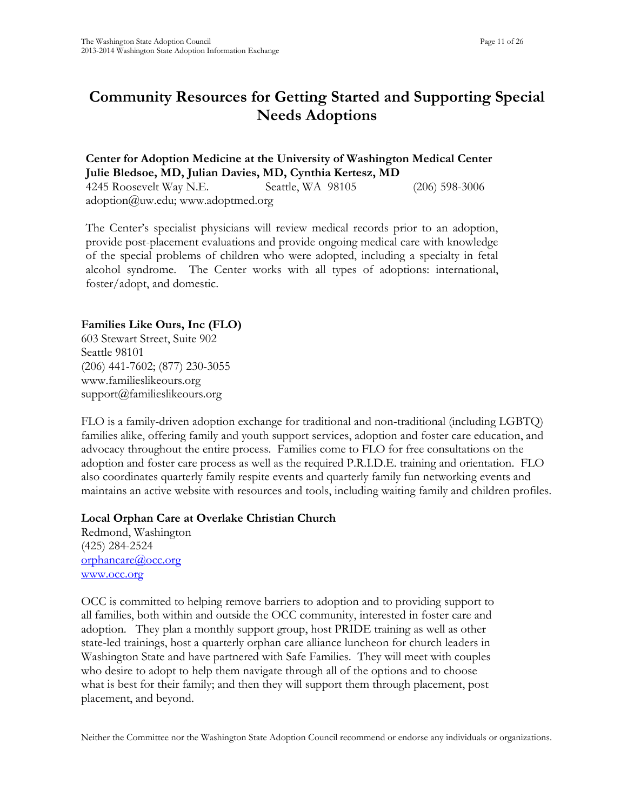# **Community Resources for Getting Started and Supporting Special Needs Adoptions**

**Center for Adoption Medicine at the University of Washington Medical Center Julie Bledsoe, MD, Julian Davies, MD, Cynthia Kertesz, MD** 4245 Roosevelt Way N.E. Seattle, WA 98105 (206) 598-3006

adoption@uw.edu; www.adoptmed.org

The Center's specialist physicians will review medical records prior to an adoption, provide post-placement evaluations and provide ongoing medical care with knowledge of the special problems of children who were adopted, including a specialty in fetal alcohol syndrome. The Center works with all types of adoptions: international, foster/adopt, and domestic.

## **Families Like Ours, Inc (FLO)**

603 Stewart Street, Suite 902 Seattle 98101 (206) 441-7602; (877) 230-3055 www.familieslikeours.org support@familieslikeours.org

FLO is a family-driven adoption exchange for traditional and non-traditional (including LGBTQ) families alike, offering family and youth support services, adoption and foster care education, and advocacy throughout the entire process. Families come to FLO for free consultations on the adoption and foster care process as well as the required P.R.I.D.E. training and orientation. FLO also coordinates quarterly family respite events and quarterly family fun networking events and maintains an active website with resources and tools, including waiting family and children profiles.

## **Local Orphan Care at Overlake Christian Church**

Redmond, Washington (425) 284-2524 [orphancare@occ.org](mailto:orphancare@occ.org) [www.occ.org](http://www.occ.org/)

OCC is committed to helping remove barriers to adoption and to providing support to all families, both within and outside the OCC community, interested in foster care and adoption. They plan a monthly support group, host PRIDE training as well as other state-led trainings, host a quarterly orphan care alliance luncheon for church leaders in Washington State and have partnered with Safe Families. They will meet with couples who desire to adopt to help them navigate through all of the options and to choose what is best for their family; and then they will support them through placement, post placement, and beyond.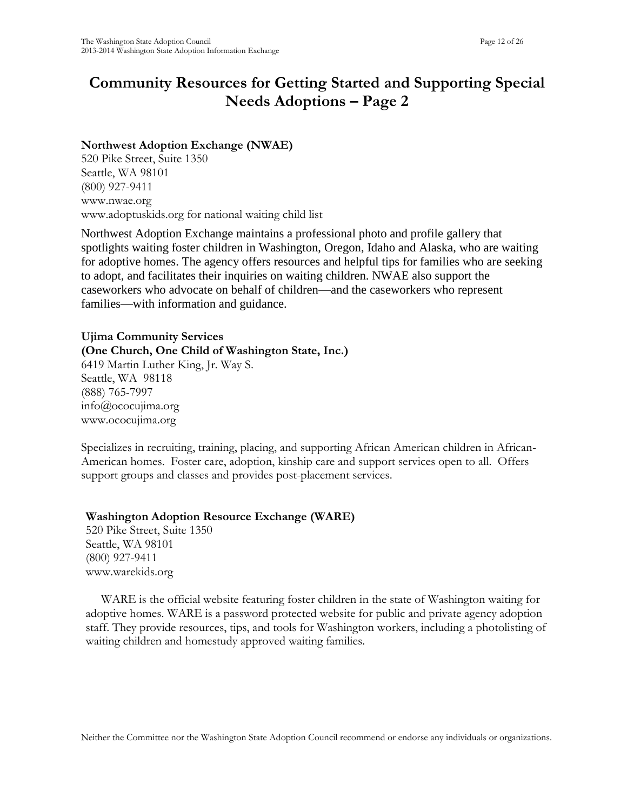# **Community Resources for Getting Started and Supporting Special Needs Adoptions – Page 2**

#### **Northwest Adoption Exchange (NWAE)**

520 Pike Street, Suite 1350 Seattle, WA 98101 (800) 927-9411 [www.nwae.org](http://www.nwae.org/) [www.adoptuskids.org](http://www.adoptuskids.org/) for national waiting child list

Northwest Adoption Exchange maintains a professional photo and profile gallery that spotlights waiting foster children in Washington, Oregon, Idaho and Alaska, who are waiting for adoptive homes. The agency offers resources and helpful tips for families who are seeking to adopt, and facilitates their inquiries on waiting children. NWAE also support the caseworkers who advocate on behalf of children—and the caseworkers who represent families—with information and guidance.

**Ujima Community Services (One Church, One Child of Washington State, Inc.)**  6419 Martin Luther King, Jr. Way S. Seattle, WA 98118 (888) 765-7997 info@ococujima.org [www.ococujima.org](http://www.ococujima.org/)

Specializes in recruiting, training, placing, and supporting African American children in African-American homes. Foster care, adoption, kinship care and support services open to all. Offers support groups and classes and provides post-placement services.

## **Washington Adoption Resource Exchange (WARE)**

520 Pike Street, Suite 1350 Seattle, WA 98101 (800) 927-9411 www.warekids.org

 WARE is the official website featuring foster children in the state of Washington waiting for adoptive homes. WARE is a password protected website for public and private agency adoption staff. They provide resources, tips, and tools for Washington workers, including a photolisting of waiting children and homestudy approved waiting families.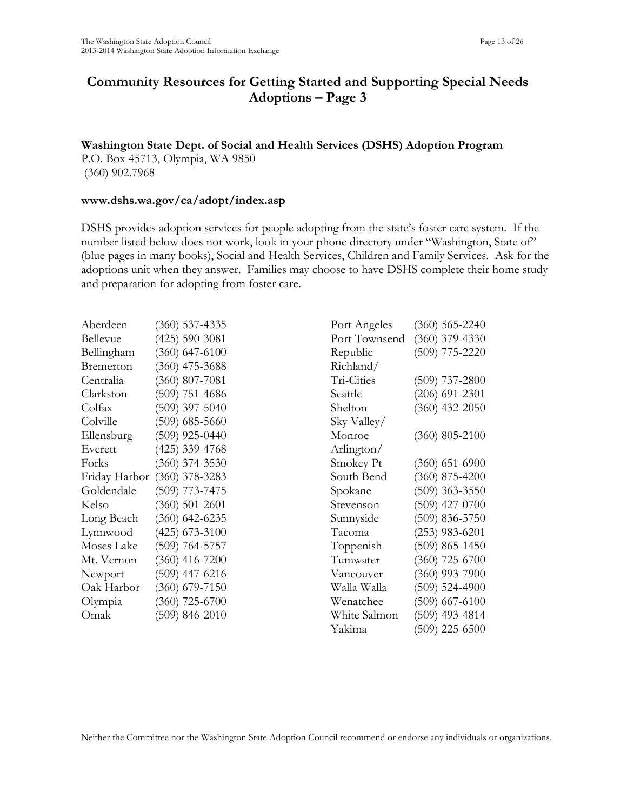## **Community Resources for Getting Started and Supporting Special Needs Adoptions – Page 3**

## **Washington State Dept. of Social and Health Services (DSHS) Adoption Program**

P.O. Box 45713, Olympia, WA 9850 (360) 902.7968

#### **www.dshs.wa.gov/ca/adopt/index.asp**

DSHS provides adoption services for people adopting from the state's foster care system. If the number listed below does not work, look in your phone directory under "Washington, State of" (blue pages in many books), Social and Health Services, Children and Family Services. Ask for the adoptions unit when they answer. Families may choose to have DSHS complete their home study and preparation for adopting from foster care.

| Aberdeen      | $(360)$ 537-4335 | Port Angeles  | $(360)$ 565-2240   |
|---------------|------------------|---------------|--------------------|
| Bellevue      | $(425)$ 590-3081 | Port Townsend | $(360)$ 379-4330   |
| Bellingham    | $(360)$ 647-6100 | Republic      | $(509)$ 775-2220   |
| Bremerton     | $(360)$ 475-3688 | Richland/     |                    |
| Centralia     | $(360)$ 807-7081 | Tri-Cities    | $(509)$ 737-2800   |
| Clarkston     | $(509)$ 751-4686 | Seattle       | $(206)$ 691-2301   |
| Colfax        | $(509)$ 397-5040 | Shelton       | $(360)$ 432-2050   |
| Colville      | $(509)$ 685-5660 | Sky Valley/   |                    |
| Ellensburg    | $(509)$ 925-0440 | Monroe        | $(360)$ 805-2100   |
| Everett       | $(425)$ 339-4768 | Arlington/    |                    |
| Forks         | $(360)$ 374-3530 | Smokey Pt     | $(360)$ 651-6900   |
| Friday Harbor | $(360)$ 378-3283 | South Bend    | $(360)$ 875-4200   |
| Goldendale    | $(509)$ 773-7475 | Spokane       | $(509)$ 363-3550   |
| Kelso         | $(360)$ 501-2601 | Stevenson     | $(509)$ 427-0700   |
| Long Beach    | $(360)$ 642-6235 | Sunnyside     | $(509) 836 - 5750$ |
| Lynnwood      | $(425)$ 673-3100 | Tacoma        | $(253)$ 983-6201   |
| Moses Lake    | $(509)$ 764-5757 | Toppenish     | $(509)$ 865-1450   |
| Mt. Vernon    | $(360)$ 416-7200 | Tumwater      | $(360)$ 725-6700   |
| Newport       | $(509)$ 447-6216 | Vancouver     | $(360)$ 993-7900   |
| Oak Harbor    | $(360)$ 679-7150 | Walla Walla   | $(509) 524 - 4900$ |
| Olympia       | $(360)$ 725-6700 | Wenatchee     | $(509)$ 667-6100   |
| Omak          | $(509)$ 846-2010 | White Salmon  | $(509)$ 493-4814   |
|               |                  | Yakima        | $(509)$ 225-6500   |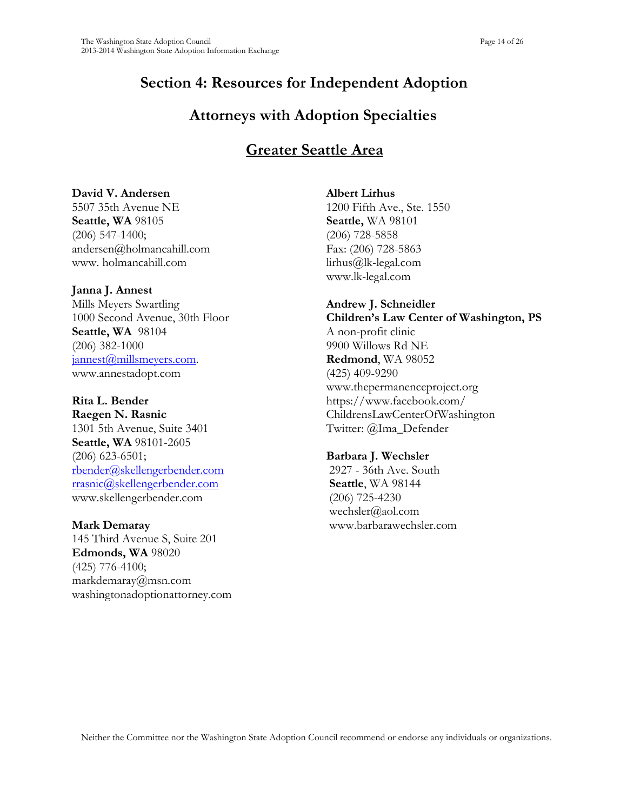# **Section 4: Resources for Independent Adoption**

## **Attorneys with Adoption Specialties**

# **Greater Seattle Area**

## **David V. Andersen**

5507 35th Avenue NE **Seattle, WA** 98105 (206) 547-1400; andersen@holmancahill.com www. holmancahill.com

## **Janna J. Annest**

Mills Meyers Swartling 1000 Second Avenue, 30th Floor **Seattle, WA** 98104 (206) 382-1000 [jannest@millsmeyers.com.](mailto:jannest@millsmeyers.com) [www.annestadopt.com](http://www.annestadopt.com/)

## **Rita L. Bender**

**Raegen N. Rasnic** 1301 5th Avenue, Suite 3401 **Seattle, WA** 98101-2605 (206) 623-6501; [rbender@skellengerbender.com](mailto:rbender@skellengerbender.com) [rrasnic@skellengerbender.com](mailto:rrasnic@skellengerbender.com) [www.skellengerbender.com](http://www.skellengerbender.com/)

## **Mark Demaray**

145 Third Avenue S, Suite 201 **Edmonds, WA** 98020 (425) 776-4100; [markdemaray@msn.com](mailto:mdemaray@msn.com) washingtonadoptionattorney.com

## **Albert Lirhus**

1200 Fifth Ave., Ste. 1550 **Seattle,** WA 98101 (206) 728-5858 Fax: (206) 728-5863 [lirhus@lk-legal.com](mailto:lirhus@lk-legal.com) [www.lk-legal.com](http://www.lk-legal.com/)

## **Andrew J. Schneidler**

**Children's Law Center of Washington, PS** A non-profit clinic 9900 Willows Rd NE **Redmond**, WA 98052 (425) 409-9290 [www.thepermanenceproject.org](http://www.thepermanenceproject.org/) [https://www.facebook.com/](https://www.facebook.com/%20ChildrensLawCenterOfWashington)  [ChildrensLawCenterOfWashington](https://www.facebook.com/%20ChildrensLawCenterOfWashington) Twitter: [@Ima\\_Defender](https://twitter.com/ima_defender)

## **Barbara J. Wechsler**

2927 - 36th Ave. South **Seattle**, WA 98144 (206) 725-4230 [wechsler@aol.com](mailto:wechsler@aol.com) [www.barbarawechsler.com](http://www.barbarawechsler.com/)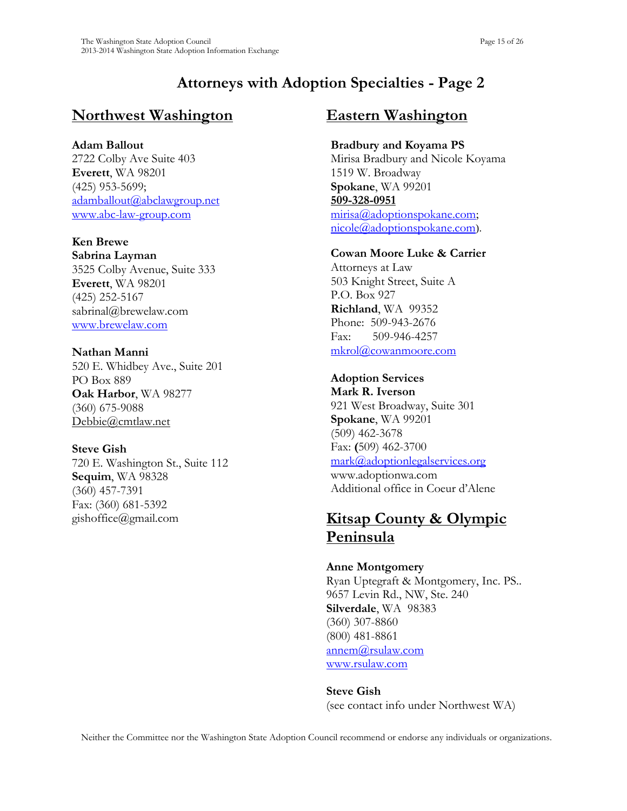# **Attorneys with Adoption Specialties - Page 2**

# **Northwest Washington**

**Adam Ballout** 2722 Colby Ave Suite 403 **Everett**, WA 98201 (425) 953-5699; [adamballout@abclawgroup.net](mailto:adamballout@abclawgroup.net) [www.abc-law-group.com](http://www.abc-law-group.com/)

**Ken Brewe Sabrina Layman** 3525 Colby Avenue, Suite 333 **Everett**, WA 98201 (425) 252-5167 [sabrinal@brewelaw.com](mailto:sabrinal@brewelaw.com) [www.brewelaw.com](http://www.brewelaw.com/)

**Nathan Manni** 520 E. Whidbey Ave., Suite 201 PO Box 889 **Oak Harbor**, WA 98277 (360) 675-9088 [Debbie@cmtlaw.net](mailto:Debbie@cmtlaw.net)

**Steve Gish** 720 E. Washington St., Suite 112 **Sequim**, WA 98328 (360) 457-7391 Fax: (360) 681-5392 [gishoffice@gmail.com](mailto:gishoffice@gmail.com)

## **Eastern Washington**

**Bradbury and Koyama PS** Mirisa Bradbury and Nicole Koyama 1519 W. Broadway **Spokane**, WA 99201 **[509-328-0951](tel:509-328-0951)** [mirisa@adoptionspokane.com;](mailto:mirisa@adoptionspokane.com) [nicole@adoptionspokane.com](mailto:nicole@adoptionspokane.com)).

## **Cowan Moore Luke & Carrier**

Attorneys at Law 503 Knight Street, Suite A P.O. Box 927 **Richland**, WA 99352 Phone: 509-943-2676 Fax: 509-946-4257 [mkrol@cowanmoore.com](mailto:mkrol@cowanmoore.com)

**Adoption Services**

**Mark R. Iverson** 921 West Broadway, Suite 301 **Spokane**, WA 99201 (509) 462-3678 Fax: **(**509) 462-3700 [mark@adoptionlegalservices.org](mailto:mark@adoptionlegalservices.org) [www.adoptionwa.com](http://www.adoptionwa.com/) Additional office in Coeur d'Alene

# **Kitsap County & Olympic Peninsula**

**Anne Montgomery** Ryan Uptegraft & Montgomery, Inc. PS.. 9657 Levin Rd., NW, Ste. 240 **Silverdale**, WA 98383 (360) 307-8860 (800) 481-8861 [annem@rsulaw.com](mailto:annem@rsulaw.com) [www.rsulaw.com](http://www.rsulaw.com/)

**Steve Gish** (see contact info under Northwest WA)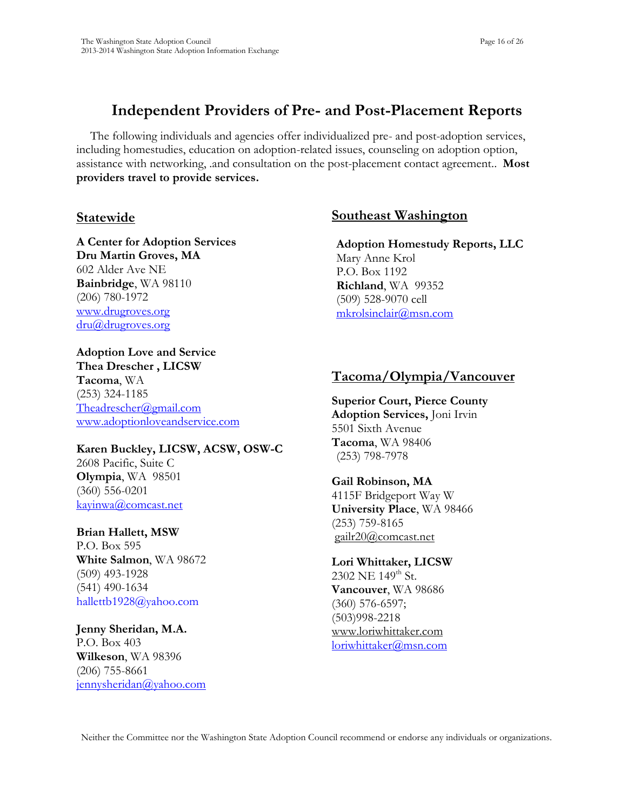## **Independent Providers of Pre- and Post-Placement Reports**

The following individuals and agencies offer individualized pre- and post-adoption services, including homestudies, education on adoption-related issues, counseling on adoption option, assistance with networking, .and consultation on the post-placement contact agreement.. **Most providers travel to provide services.**

## **Statewide**

**A Center for Adoption Services Dru Martin Groves, MA** 602 Alder Ave NE **Bainbridge**, WA 98110 (206) 780-1972 [www.drugroves.org](http://www.drugroves.org/) [dru@drugroves.org](mailto:dru@drugroves.org)

**Adoption Love and Service Thea Drescher , LICSW Tacoma**, WA (253) 324-1185 [Theadrescher@gmail.com](mailto:Theadrescher@gmail.com) [www.adoptionloveandservice.com](http://www.adoptionloveandservice.com/)

## **Karen Buckley, LICSW, ACSW, OSW-C**

2608 Pacific, Suite C **Olympia**, WA 98501 (360) 556-0201 [kayinwa@comcast.net](mailto:kayinwa@comcast.net)

## **Brian Hallett, MSW**

P.O. Box 595 **White Salmon**, WA 98672 (509) 493-1928 (541) 490-1634 hallettb1928@yahoo.com

**Jenny Sheridan, M.A.** P.O. Box 403 **Wilkeson**, WA 98396 (206) 755-8661 [jennysheridan@yahoo.com](mailto:jennysheridan@yahoo.com)

## **Southeast Washington**

**Adoption Homestudy Reports, LLC** Mary Anne Krol P.O. Box 1192 **Richland**, WA 99352 (509) 528-9070 cell [mkrolsinclair@msn.com](mailto:mkrolsinclair@msn.com)

## **Tacoma/Olympia/Vancouver**

**Superior Court, Pierce County Adoption Services,** Joni Irvin 5501 Sixth Avenue **Tacoma**, WA 98406 (253) 798-7978

## **Gail Robinson, MA**

4115F Bridgeport Way W **University Place**, WA 98466 (253) 759-8165 [gailr20@comcast.net](mailto:gailr20@comcast.net)

## **Lori Whittaker, LICSW**

2302 NE 149<sup>th</sup> St. **Vancouver**, WA 98686 (360) 576-6597; (503)998-2218 [www.loriwhittaker.com](http://www.loriwhittaker.com/) [loriwhittaker@msn.com](mailto:loriwhittaker@msn.com)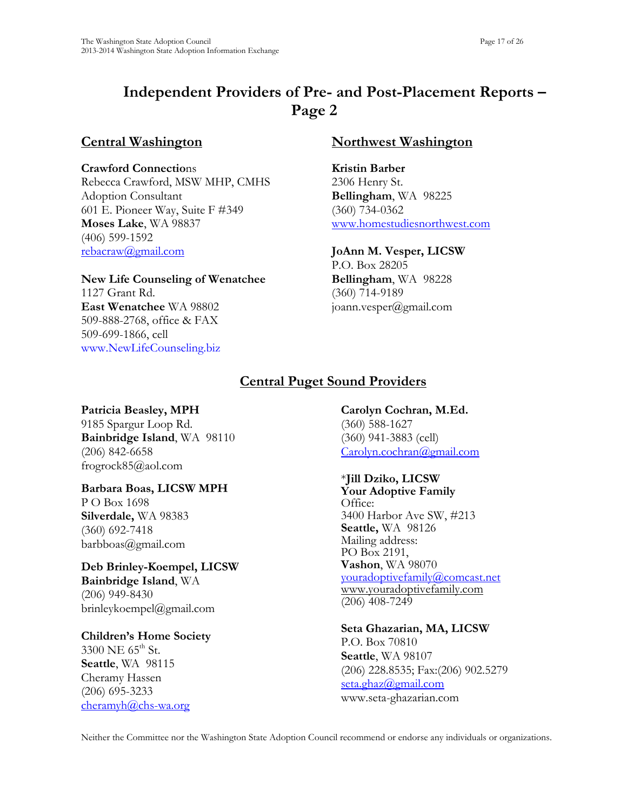# **Independent Providers of Pre- and Post-Placement Reports – Page 2**

## **Central Washington**

**Crawford Connectio**ns Rebecca Crawford, MSW MHP, CMHS Adoption Consultant 601 E. Pioneer Way, Suite F #349 **Moses Lake**, WA 98837 (406) 599-1592 [rebacraw@gmail.com](mailto:rebacraw@gmail.com)

**New Life Counseling of Wenatchee** 1127 Grant Rd. **East Wenatchee** WA 98802 509-888-2768, office & FAX 509-699-1866, cell www.NewLifeCounseling.biz

## **Northwest Washington**

**Kristin Barber** 2306 Henry St. **Bellingham**, WA 98225 (360) 734-0362 [www.homestudiesnorthwest.com](http://www.homestudiesnorthwest.com/)

**JoAnn M. Vesper, LICSW**

P.O. Box 28205 **Bellingham**, WA 98228 (360) 714-9189 [joann.vesper@gmail.com](mailto:jovesper@aol.com)

## **Central Puget Sound Providers**

#### **Patricia Beasley, MPH**

9185 Spargur Loop Rd. **Bainbridge Island**, WA 98110 (206) 842-6658 frogrock85@aol.com

## **Barbara Boas, LICSW MPH**

P O Box 1698 **Silverdale,** WA 98383 (360) 692-7418 [barbboas@gmail.com](mailto:bboas@ix.netcom.com)

**Deb Brinley-Koempel, LICSW Bainbridge Island**, WA (206) 949-8430 brinleykoempel@gmail.com

## **Children's Home Society**

 $3300$  NE  $65^{\text{th}}$  St. **Seattle**, WA 98115 Cheramy Hassen (206) 695-3233 [cheramyh@chs-wa.org](mailto:cheramyh@chs-wa.org) **Carolyn Cochran, M.Ed.** (360) 588-1627 (360) 941-3883 (cell) [Carolyn.cochran@gmail.com](mailto:Carolyn.cochran@gmail.com)

## \***Jill Dziko, LICSW**

**Your Adoptive Family** Office: 3400 Harbor Ave SW, #213 **Seattle,** WA 98126 Mailing address: PO Box 2191, **Vashon**, WA 98070 [youradoptivefamily@comcast.net](mailto:youradoptivefamily@comcast.net) [www.youradoptivefamily.com](http://www.youradoptivefamily.com/) (206) 408-7249

**Seta Ghazarian, MA, LICSW** P.O. Box 70810 **Seattle**, WA 98107 (206) 228.8535; Fax:(206) 902.5279 [seta.ghaz@gmail.com](mailto:seta.ghaz@gmail.com)

www.seta-ghazarian.com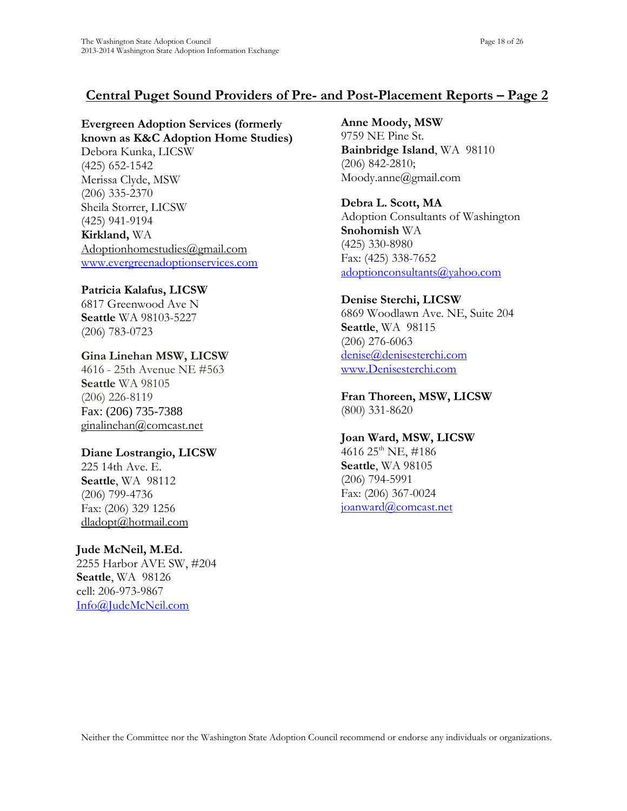## **Central Puget Sound Providers of Pre- and Post-Placement Reports – Page 2**

**Evergreen Adoption Services (formerly known as K&C Adoption Home Studies)** Debora Kunka, LICSW (425) 652-1542 Merissa Clyde, MSW (206) 335-2370 Sheila Storrer, LICSW (425) 941-9194 **Kirkland,** WA [Adoptionhomestudies@gmail.com](mailto:Adoptionhomestudies@gmail.com)

[www.evergreenadoptionservices.com](http://www.evergreenadoptionservices.com/)

#### **Patricia Kalafus, LICSW**

6817 Greenwood Ave N **Seattle** WA 98103-5227 (206) 783-0723

## **Gina Linehan MSW, LICSW**

4616 - 25th Avenue NE #563 **Seattle** WA 98105 (206) 226-8119 Fax: (206) 735-7388 [ginalinehan@comcast.net](mailto:ginalinehan@comcast.net)

## **Diane Lostrangio, LICSW**

225 14th Ave. E. **Seattle**, WA 98112 (206) 799-4736 Fax: (206) 329 1256 [dladopt@hotmail.com](mailto:dladopt@hotmail.com)

#### **Jude McNeil, M.Ed.**

2255 Harbor AVE SW, #204 **Seattle**, WA 98126 cell: 206-973-9867 [Info@JudeMcNeil.com](mailto:Info@JudeMcNeil.com)

## **Anne Moody, MSW**

9759 NE Pine St. **Bainbridge Island**, WA 98110 (206) 842-2810; Moody.anne@gmail.com

**Debra L. Scott, MA** Adoption Consultants of Washington **Snohomish** WA (425) 330-8980 Fax: (425) 338-7652 [adoptionconsultants@yahoo.com](mailto:adoptionconsultants@yahoo.com)

#### **Denise Sterchi, LICSW**

6869 Woodlawn Ave. NE, Suite 204 **Seattle**, WA 98115 (206) 276-6063 [denise@denisesterchi.com](mailto:denise@denisesterchi.com) [www.Denisesterchi.com](http://www.denisesterchi.com/)

**Fran Thoreen, MSW, LICSW** (800) 331-8620

## **Joan Ward, MSW, LICSW**

4616 25<sup>th</sup> NE, #186 **Seattle**, WA 98105 (206) 794-5991 Fax: (206) 367-0024 [joanward@comcast.net](mailto:joanward@comcast.net)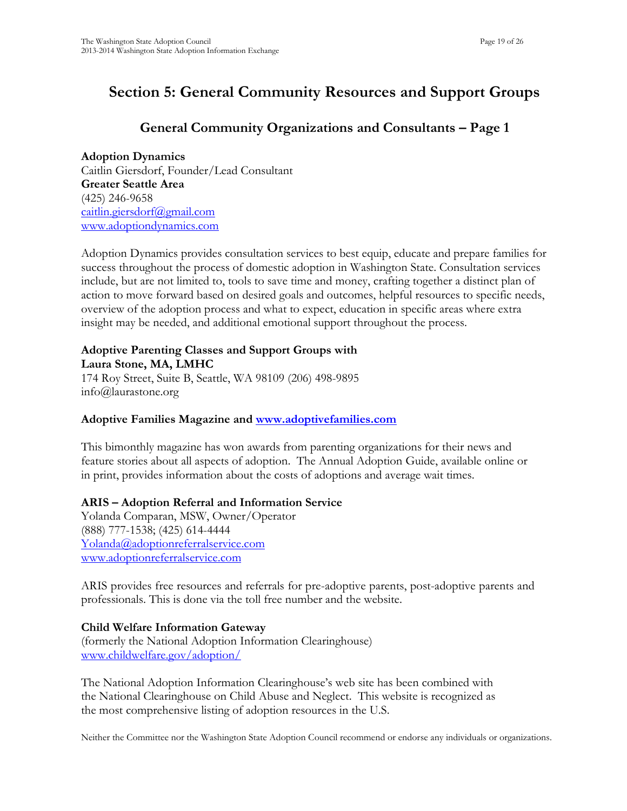# **Section 5: General Community Resources and Support Groups**

## **General Community Organizations and Consultants – Page 1**

**Adoption Dynamics** Caitlin Giersdorf, Founder/Lead Consultant **Greater Seattle Area** (425) 246-9658 [caitlin.giersdorf@gmail.com](mailto:caitlin.giersdorf@gmail.com) [www.adoptiondynamics.com](http://www.adoptiondynamics.com/)

Adoption Dynamics provides consultation services to best equip, educate and prepare families for success throughout the process of domestic adoption in Washington State. Consultation services include, but are not limited to, tools to save time and money, crafting together a distinct plan of action to move forward based on desired goals and outcomes, helpful resources to specific needs, overview of the adoption process and what to expect, education in specific areas where extra insight may be needed, and additional emotional support throughout the process.

## **Adoptive Parenting Classes and Support Groups with Laura Stone, MA, LMHC**

174 Roy Street, Suite B, Seattle, WA 98109 (206) 498-9895 [info@laurastone.org](mailto:info@laurastone.org)

## **Adoptive Families Magazine and [www.adoptivefamilies.com](http://www.adoptivefamilies.com/)**

This bimonthly magazine has won awards from parenting organizations for their news and feature stories about all aspects of adoption. The Annual Adoption Guide, available online or in print, provides information about the costs of adoptions and average wait times.

## **ARIS – Adoption Referral and Information Service**

Yolanda Comparan, MSW, Owner/Operator (888) 777-1538; (425) 614-4444 [Yolanda@adoptionreferralservice.com](mailto:Yolanda@adoptionreferralservice.com) [www.adoptionreferralservice.com](http://www.adoptionreferralservice.com/)

ARIS provides free resources and referrals for pre-adoptive parents, post-adoptive parents and professionals. This is done via the toll free number and the website.

## **Child Welfare Information Gateway**

(formerly the National Adoption Information Clearinghouse) [www.childwelfare.gov/adoption/](http://www.childwelfare.gov/adoption/)

The National Adoption Information Clearinghouse's web site has been combined with the National Clearinghouse on Child Abuse and Neglect. This website is recognized as the most comprehensive listing of adoption resources in the U.S.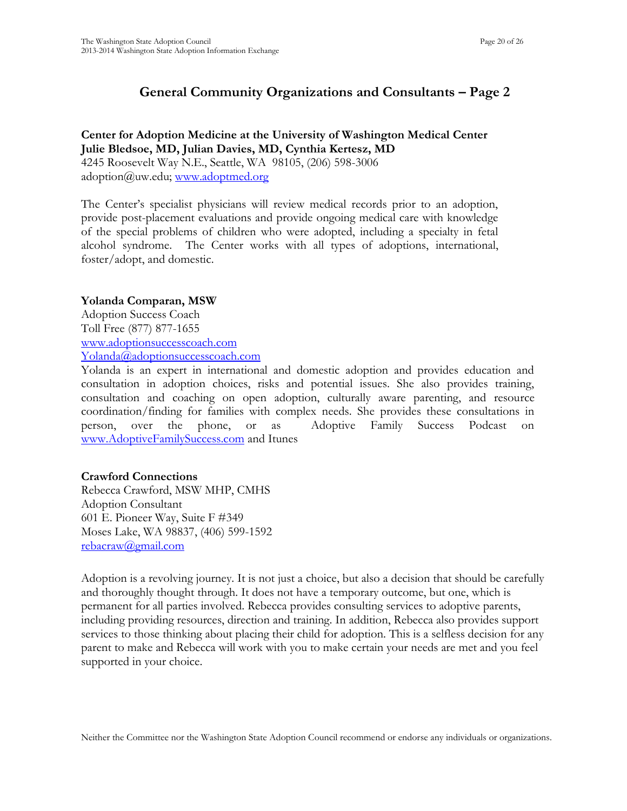## **General Community Organizations and Consultants – Page 2**

**Center for Adoption Medicine at the University of Washington Medical Center Julie Bledsoe, MD, Julian Davies, MD, Cynthia Kertesz, MD** 4245 Roosevelt Way N.E., Seattle, WA 98105, (206) 598-3006 adoption@uw.edu; [www.adoptmed.org](http://www.adoptmed.org/)

The Center's specialist physicians will review medical records prior to an adoption, provide post-placement evaluations and provide ongoing medical care with knowledge of the special problems of children who were adopted, including a specialty in fetal alcohol syndrome. The Center works with all types of adoptions, international, foster/adopt, and domestic.

## **Yolanda Comparan, MSW**

Adoption Success Coach Toll Free (877) 877-1655 [www.adoptionsuccesscoach.com](http://www.adoptionsuccesscoach.com/) [Yolanda@adoptionsuccesscoach.com](mailto:Yolanda@adoptionsuccesscoach.com)

Yolanda is an expert in international and domestic adoption and provides education and consultation in adoption choices, risks and potential issues. She also provides training, consultation and coaching on open adoption, culturally aware parenting, and resource coordination/finding for families with complex needs. She provides these consultations in person, over the phone, or as Adoptive Family Success Podcast on [www.AdoptiveFamilySuccess.com](http://www.adoptivefamilysuccess.com/) and Itunes

## **Crawford Connections**

Rebecca Crawford, MSW MHP, CMHS Adoption Consultant 601 E. Pioneer Way, Suite F #349 Moses Lake, WA 98837, (406) 599-1592 [rebacraw@gmail.com](mailto:rebacraw@gmail.com)

Adoption is a revolving journey. It is not just a choice, but also a decision that should be carefully and thoroughly thought through. It does not have a temporary outcome, but one, which is permanent for all parties involved. Rebecca provides consulting services to adoptive parents, including providing resources, direction and training. In addition, Rebecca also provides support services to those thinking about placing their child for adoption. This is a selfless decision for any parent to make and Rebecca will work with you to make certain your needs are met and you feel supported in your choice.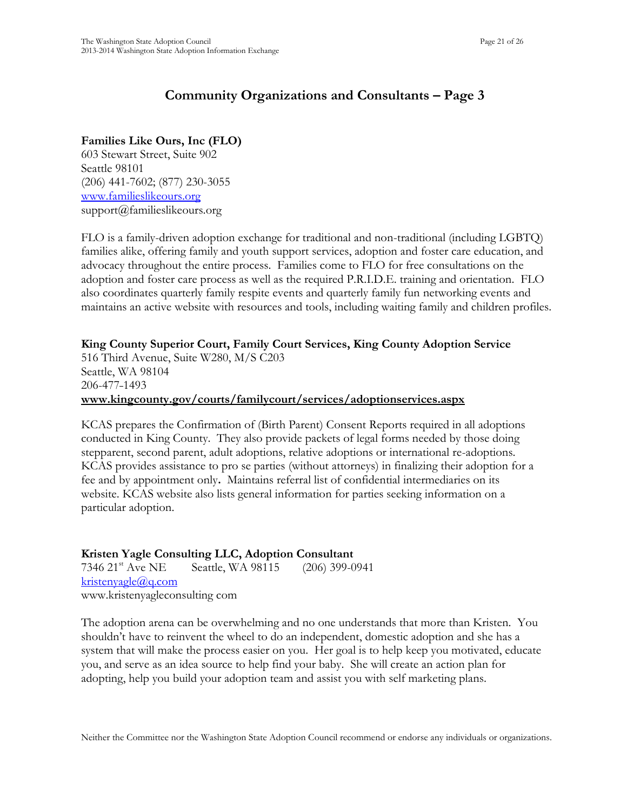## **Community Organizations and Consultants – Page 3**

## **Families Like Ours, Inc (FLO)**

603 Stewart Street, Suite 902 Seattle 98101 (206) 441-7602; (877) 230-3055 [www.familieslikeours.org](http://www.familieslikeours.org/) support@familieslikeours.org

FLO is a family-driven adoption exchange for traditional and non-traditional (including LGBTQ) families alike, offering family and youth support services, adoption and foster care education, and advocacy throughout the entire process. Families come to FLO for free consultations on the adoption and foster care process as well as the required P.R.I.D.E. training and orientation. FLO also coordinates quarterly family respite events and quarterly family fun networking events and maintains an active website with resources and tools, including waiting family and children profiles.

## **King County Superior Court, Family Court Services, King County Adoption Service**

516 Third Avenue, Suite W280, M/S C203 Seattle, WA 98104 206-477-1493 **[www.kingcounty.gov/courts/familycourt/services/adoptionservices.aspx](http://www.kingcounty.gov/courts/familycourt/services/adoptionservices.aspx)**

KCAS prepares the Confirmation of (Birth Parent) Consent Reports required in all adoptions conducted in King County. They also provide packets of legal forms needed by those doing stepparent, second parent, adult adoptions, relative adoptions or international re-adoptions. KCAS provides assistance to pro se parties (without attorneys) in finalizing their adoption for a fee and by appointment only**.** Maintains referral list of confidential intermediaries on its website. KCAS website also lists general information for parties seeking information on a particular adoption.

## **Kristen Yagle Consulting LLC, Adoption Consultant**

7346 21st Ave NE Seattle, WA 98115 (206) 399-0941 [kristenyagle@q.com](mailto:kristenyagle@q.com) [www.kristenyaglec](http://www.kristenyagle/)onsulting com

The adoption arena can be overwhelming and no one understands that more than Kristen. You shouldn't have to reinvent the wheel to do an independent, domestic adoption and she has a system that will make the process easier on you. Her goal is to help keep you motivated, educate you, and serve as an idea source to help find your baby. She will create an action plan for adopting, help you build your adoption team and assist you with self marketing plans.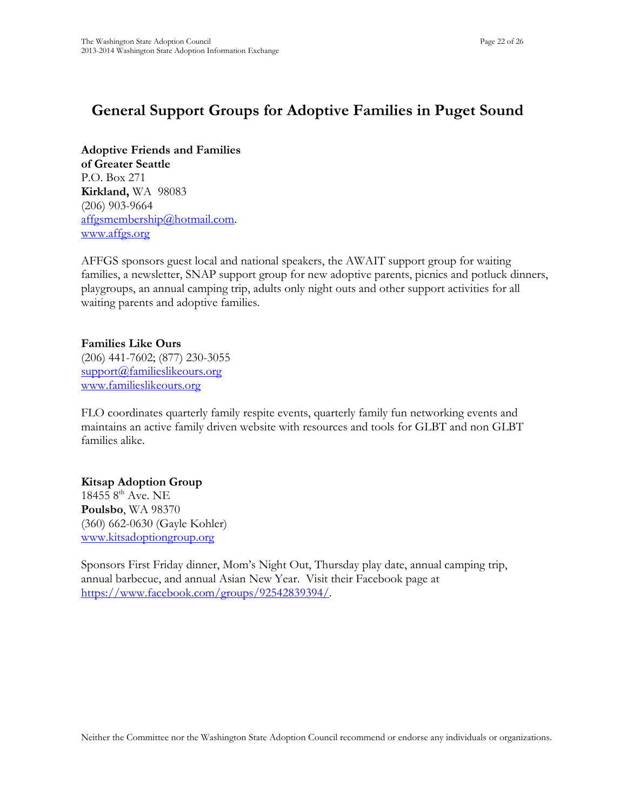# **General Support Groups for Adoptive Families in Puget Sound**

**Adoptive Friends and Families of Greater Seattle** P.O. Box 271 **Kirkland,** WA 98083 (206) 903-9664 [affgsmembership@hotmail.com.](mailto:affgsmembership@hotmail.com) [www.affgs.org](http://www.affgs.org/)

AFFGS sponsors guest local and national speakers, the AWAIT support group for waiting families, a newsletter, SNAP support group for new adoptive parents, picnics and potluck dinners, playgroups, an annual camping trip, adults only night outs and other support activities for all waiting parents and adoptive families.

**Families Like Ours** (206) 441-7602; (877) 230-3055 [support@familieslikeours.org](mailto:support@familieslikeours.org) [www.familieslikeours.org](http://www.familieslikeours.org/)

FLO coordinates quarterly family respite events, quarterly family fun networking events and maintains an active family driven website with resources and tools for GLBT and non GLBT families alike.

#### **Kitsap Adoption Group**

18455  $8^{\text{th}}$  Ave. NE **Poulsbo**, WA 98370 (360) 662-0630 (Gayle Kohler) [www.kitsadoptiongroup.org](http://www.kitsadoptiongroup.org/)

Sponsors First Friday dinner, Mom's Night Out, Thursday play date, annual camping trip, annual barbecue, and annual Asian New Year. Visit their Facebook page at [https://www.facebook.com/groups/92542839394/.](https://www.facebook.com/groups/92542839394/)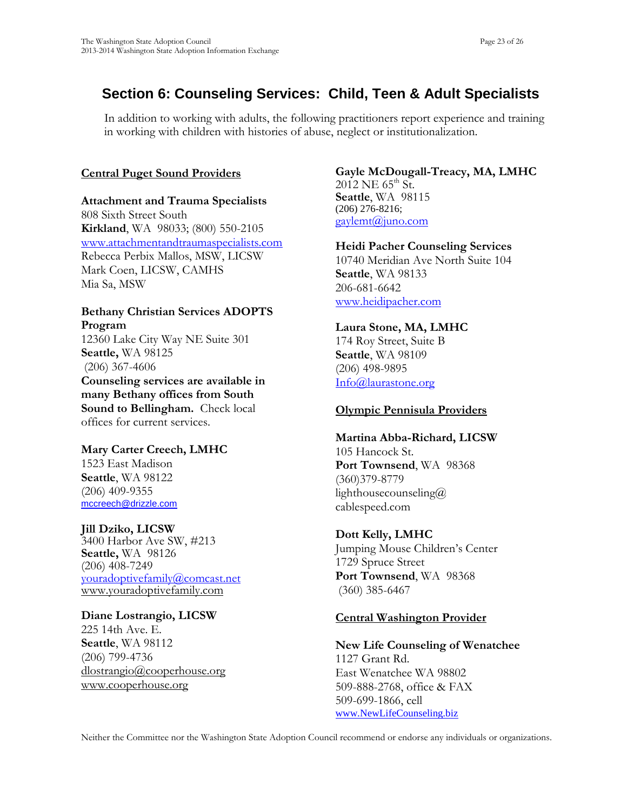# **Section 6: Counseling Services: Child, Teen & Adult Specialists**

In addition to working with adults, the following practitioners report experience and training in working with children with histories of abuse, neglect or institutionalization.

## **Central Puget Sound Providers**

## **Attachment and Trauma Specialists** 808 Sixth Street South **Kirkland**, WA 98033; (800) 550-2105 [www.attachmentandtraumaspecialists.com](http://www.attachmentandtraumaspecialists.com/) Rebecca Perbix Mallos, MSW, LICSW Mark Coen, LICSW, CAMHS Mia Sa, MSW

## **Bethany Christian Services ADOPTS Program**

12360 Lake City Way NE Suite 301 **Seattle,** WA 98125 (206) 367-4606 **Counseling services are available in many Bethany offices from South Sound to Bellingham.** Check local offices for current services.

## **Mary Carter Creech, LMHC**

1523 East Madison **Seattle**, WA 98122 (206) 409-9355 [mccreech@drizzle.com](mailto:mccreech@drizzle.com)

## **Jill Dziko, LICSW**

3400 Harbor Ave SW, #213 **Seattle,** WA 98126 (206) 408-7249 [youradoptivefamily@comcast.net](mailto:youradoptivefamily@comcast.net) [www.youradoptivefamily.com](http://www.youradoptivefamily.com/)

## **Diane Lostrangio, LICSW**

225 14th Ave. E. **Seattle**, WA 98112 (206) 799-4736 [dlostrangio@cooperhouse.org](mailto:dlostrangio@cooperhouse.org) [www.cooperhouse.org](http://www.cooperhouse.org/)

## **Gayle McDougall-Treacy, MA, LMHC**

 $2012$  NE  $65^{\text{th}}$  St. **Seattle**, WA 98115 (206) 276-8216;  $\text{gaylemt}(\textit{a})$ juno.com

## **Heidi Pacher Counseling Services**

10740 Meridian Ave North Suite 104 **Seattle**, WA 98133 206-681-6642 [www.heidipacher.com](http://www.heidipacher.com/)

## **Laura Stone, MA, LMHC**

174 Roy Street, Suite B **Seattle**, WA 98109 (206) 498-9895 [Info@laurastone.org](mailto:Info@laurastone.org)

## **Olympic Pennisula Providers**

## **Martina Abba-Richard, LICSW**

105 Hancock St. **Port Townsend**, WA 98368 (360)379-8779 lighthousecounseling@ cablespeed.com

## **Dott Kelly, LMHC**

Jumping Mouse Children's Center 1729 Spruce Street **Port Townsend**, WA 98368 (360) 385-6467

## **Central Washington Provider**

# **New Life Counseling of Wenatchee**

1127 Grant Rd. East Wenatchee WA 98802 509-888-2768, office & FAX 509-699-1866, cell [www.NewLifeCounseling.biz](http://www.newlifecounseling.biz/)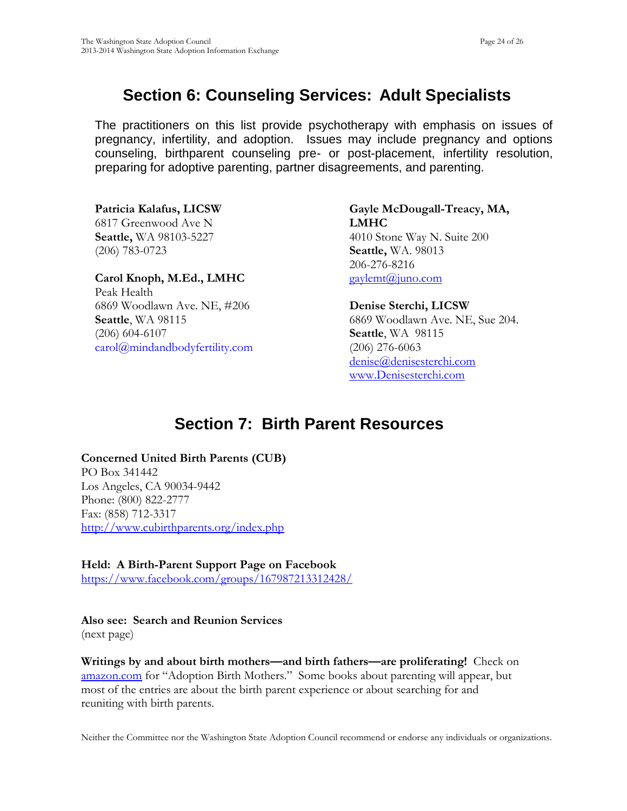# **Section 6: Counseling Services: Adult Specialists**

The practitioners on this list provide psychotherapy with emphasis on issues of pregnancy, infertility, and adoption. Issues may include pregnancy and options counseling, birthparent counseling pre- or post-placement, infertility resolution, preparing for adoptive parenting, partner disagreements, and parenting.

**Patricia Kalafus, LICSW** 6817 Greenwood Ave N **Seattle,** WA 98103-5227 (206) 783-0723

## **Carol Knoph, M.Ed., LMHC**

Peak Health 6869 Woodlawn Ave. NE, #206 **Seattle**, WA 98115 (206) 604-6107 carol@mindandbodyfertility.com **Gayle McDougall-Treacy, MA, LMHC** 4010 Stone Way N. Suite 200 **Seattle,** WA. 98013 206-276-8216 [gaylemt@juno.com](mailto:gaylemt@juno.com)

**Denise Sterchi, LICSW** 6869 Woodlawn Ave. NE, Sue 204. **Seattle**, WA 98115 (206) 276-6063 [denise@denisesterchi.com](mailto:denise@denisesterchi.com) [www.Denisesterchi.com](http://www.denisesterchi.com/)

# **Section 7: Birth Parent Resources**

## **Concerned United Birth Parents (CUB)**

PO Box 341442 Los Angeles, CA 90034-9442 Phone: (800) 822-2777 Fax: (858) 712-3317 <http://www.cubirthparents.org/index.php>

**Held: A Birth-Parent Support Page on Facebook** <https://www.facebook.com/groups/167987213312428/>

**Also see: Search and Reunion Services** (next page)

**Writings by and about birth mothers—and birth fathers—are proliferating!** Check on amazon.com for "Adoption Birth Mothers." Some books about parenting will appear, but most of the entries are about the birth parent experience or about searching for and reuniting with birth parents.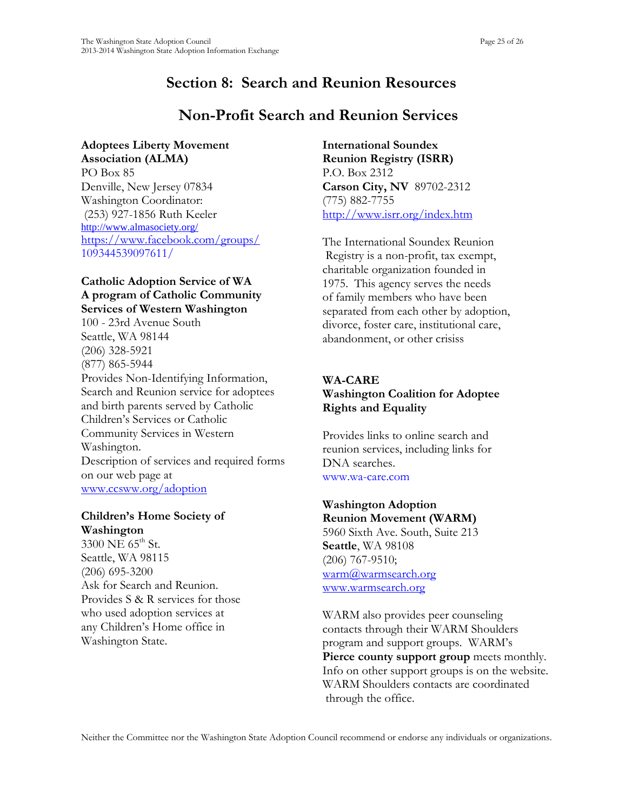# **Section 8: Search and Reunion Resources**

## **Non-Profit Search and Reunion Services**

#### **Adoptees Liberty Movement Association (ALMA)**

PO Box 85 Denville, New Jersey 07834 Washington Coordinator: (253) 927-1856 Ruth Keeler <http://www.almasociety.org/> <https://www.facebook.com/groups/> 109344539097611/

## **Catholic Adoption Service of WA A program of Catholic Community Services of Western Washington**

100 - 23rd Avenue South Seattle, WA 98144 (206) 328-5921 (877) 865-5944 Provides Non-Identifying Information, Search and Reunion service for adoptees and birth parents served by Catholic Children's Services or Catholic Community Services in Western Washington. Description of services and required forms on our web page at [www.ccsww.org/adoption](http://www.ccsww.org/adoption)

## **Children's Home Society of Washington**

 $3300 \text{ NE } 65^{\text{th}}$  St. Seattle, WA 98115 (206) 695-3200 Ask for Search and Reunion. Provides S & R services for those who used adoption services at any Children's Home office in Washington State.

**International Soundex Reunion Registry (ISRR)** P.O. Box 2312 **Carson City, NV** 89702-2312 (775) 882-7755 <http://www.isrr.org/index.htm>

The International Soundex Reunion Registry is a non-profit, tax exempt, charitable organization founded in 1975. This agency serves the needs of family members who have been separated from each other by adoption, divorce, foster care, institutional care, abandonment, or other crisiss

## **WA-CARE Washington Coalition for Adoptee Rights and Equality**

Provides links to online search and reunion services, including links for DNA searches. www.wa-care.com

#### **Washington Adoption Reunion Movement (WARM)**

5960 Sixth Ave. South, Suite 213 **Seattle**, WA 98108 (206) 767-9510; [warm@warmsearch.org](mailto:warm@warmsearch.org) [www.warmsearch.org](http://www.warmsearch.org/)

WARM also provides peer counseling contacts through their WARM Shoulders program and support groups. WARM's **Pierce county support group** meets monthly. Info on other support groups is on the website. WARM Shoulders contacts are coordinated through the office.